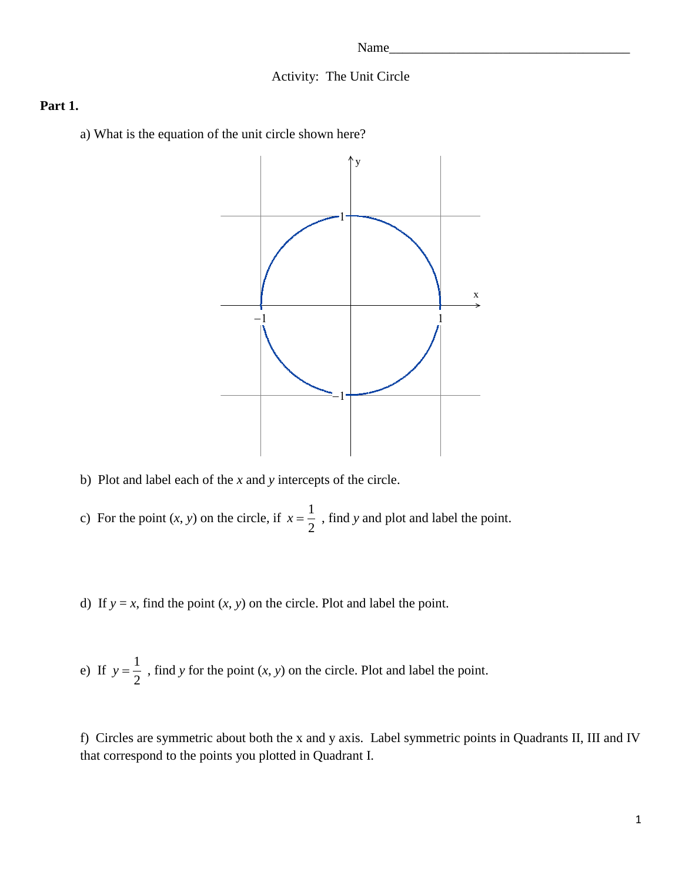#### Activity: The Unit Circle

#### **Part 1.**

a) What is the equation of the unit circle shown here?



- b) Plot and label each of the *x* and *y* intercepts of the circle.
- c) For the point  $(x, y)$  on the circle, if  $x = \frac{1}{2}$ 2  $x = \frac{1}{x}$ , find *y* and plot and label the point.

d) If  $y = x$ , find the point  $(x, y)$  on the circle. Plot and label the point.

e) If  $y = \frac{1}{2}$ 2  $y = \frac{1}{x}$ , find *y* for the point  $(x, y)$  on the circle. Plot and label the point.

f) Circles are symmetric about both the x and y axis. Label symmetric points in Quadrants II, III and IV that correspond to the points you plotted in Quadrant I.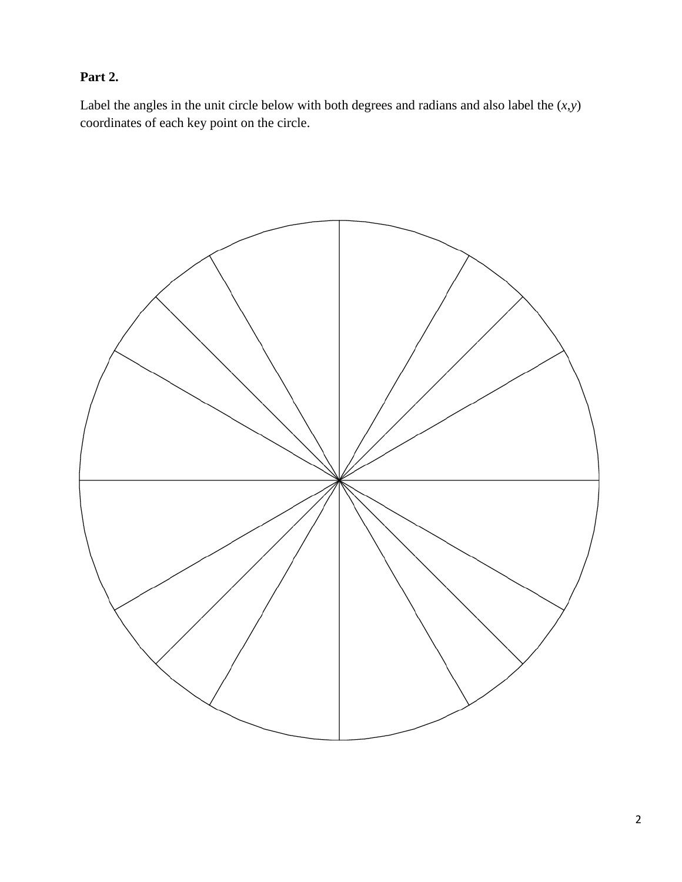# **Part 2.**

Label the angles in the unit circle below with both degrees and radians and also label the  $(x, y)$ coordinates of each key point on the circle.

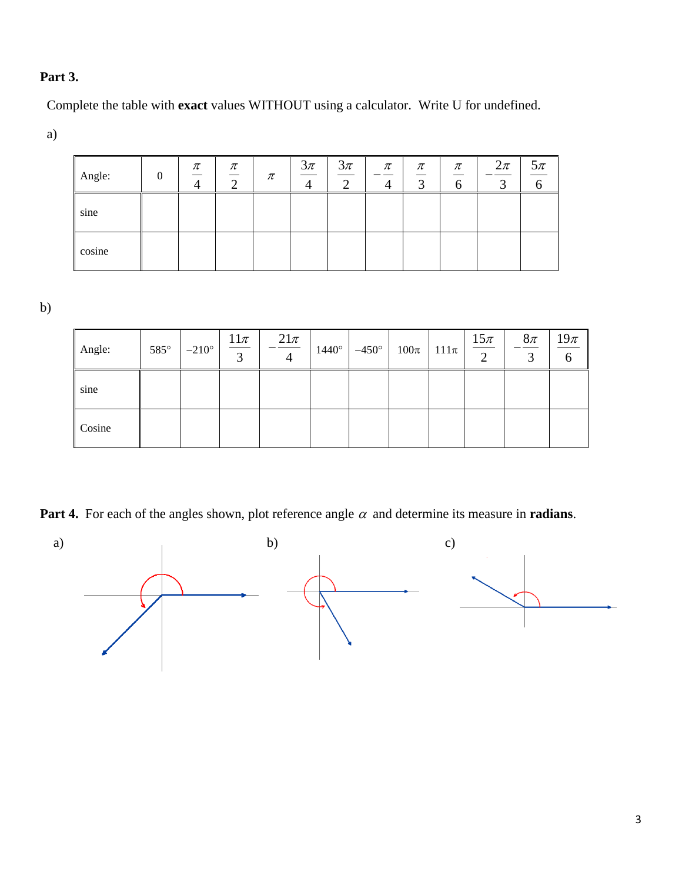## **Part 3.**

Complete the table with **exact** values WITHOUT using a calculator. Write U for undefined.

a)

| Angle: | 0 | $\pi$ | $\pi$<br>◠ | π | $\frac{3\pi}{4}$ | $3\pi$<br>$\sim$ | $\pi$<br>┱ | $\pi$<br>--<br>⌒<br>́<br>ر | $\pi$<br>O | $2\pi$<br>◠<br>ر | $5\pi$ |
|--------|---|-------|------------|---|------------------|------------------|------------|----------------------------|------------|------------------|--------|
| sine   |   |       |            |   |                  |                  |            |                            |            |                  |        |
| cosine |   |       |            |   |                  |                  |            |                            |            |                  |        |

b)

| Angle: | $585^\circ$ | $-210^{\circ}$ | $\frac{11\pi}{2}$ | $21\pi$ | $1440^\circ$ | $-450^\circ$ | $100\pi$ | $111\pi$ | $\frac{15\pi}{2}$ | $8\pi$ | $19\pi$ |
|--------|-------------|----------------|-------------------|---------|--------------|--------------|----------|----------|-------------------|--------|---------|
| sine   |             |                |                   |         |              |              |          |          |                   |        |         |
| Cosine |             |                |                   |         |              |              |          |          |                   |        |         |

**Part 4.** For each of the angles shown, plot reference angle  $\alpha$  and determine its measure in **radians**.

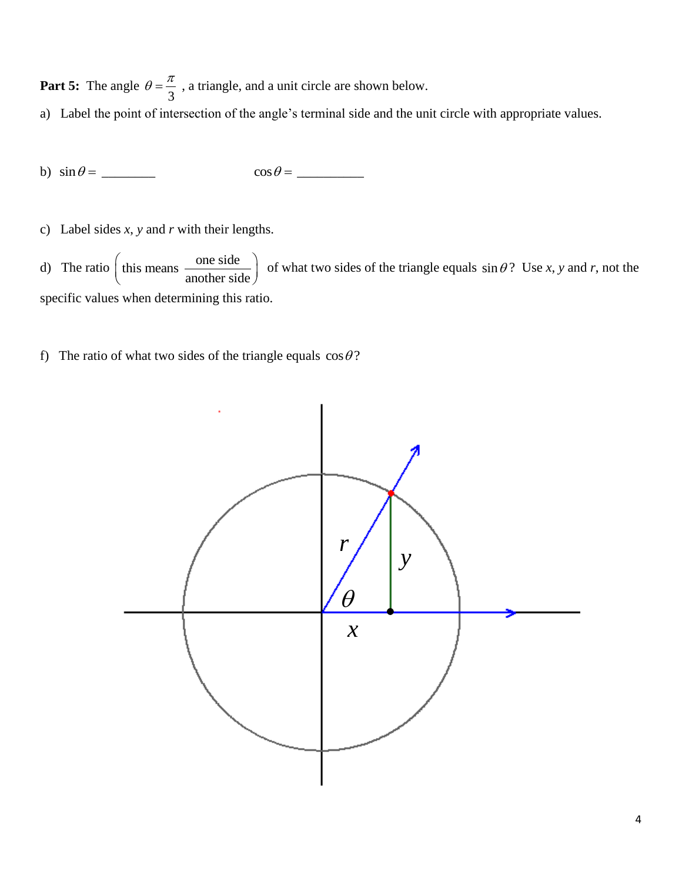**Part 5:** The angle 3  $\theta = \frac{\pi}{2}$ , a triangle, and a unit circle are shown below.

- a) Label the point of intersection of the angle's terminal side and the unit circle with appropriate values.
- b)  $\sin \theta =$  $\cos \theta =$
- c) Label sides *x*, *y* and *r* with their lengths.

d) The ratio  $\int$  this means  $\frac{\text{one side}}{\sqrt{1-\frac{1}{n}}$  $\left(\text{this means } \frac{\text{one side}}{\text{another side}}\right) \text{ of }$ of what two sides of the triangle equals  $\sin \theta$ ? Use *x*, *y* and *r*, not the specific values when determining this ratio.

f) The ratio of what two sides of the triangle equals  $\cos \theta$ ?

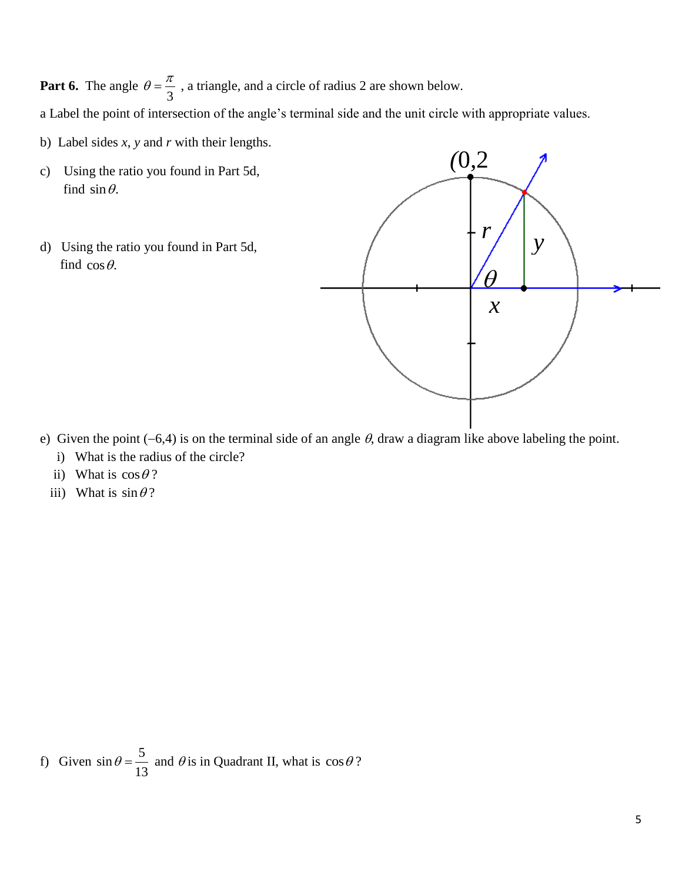Part 6. The angle 3  $\theta = \frac{\pi}{2}$ , a triangle, and a circle of radius 2 are shown below.

a Label the point of intersection of the angle's terminal side and the unit circle with appropriate values.

- b) Label sides *x*, *y* and *r* with their lengths.
- c) Using the ratio you found in Part 5d, find  $\sin \theta$ .
- d) Using the ratio you found in Part 5d, find  $\cos \theta$ .



- e) Given the point  $(-6,4)$  is on the terminal side of an angle  $\theta$ , draw a diagram like above labeling the point. i) What is the radius of the circle?
- ii) What is  $\cos \theta$ ?
- iii) What is  $\sin \theta$ ?

f) Given  $\sin \theta = \frac{5}{16}$ 13  $\theta = \frac{3}{12}$  and  $\theta$  is in Quadrant II, what is  $\cos \theta$ ?